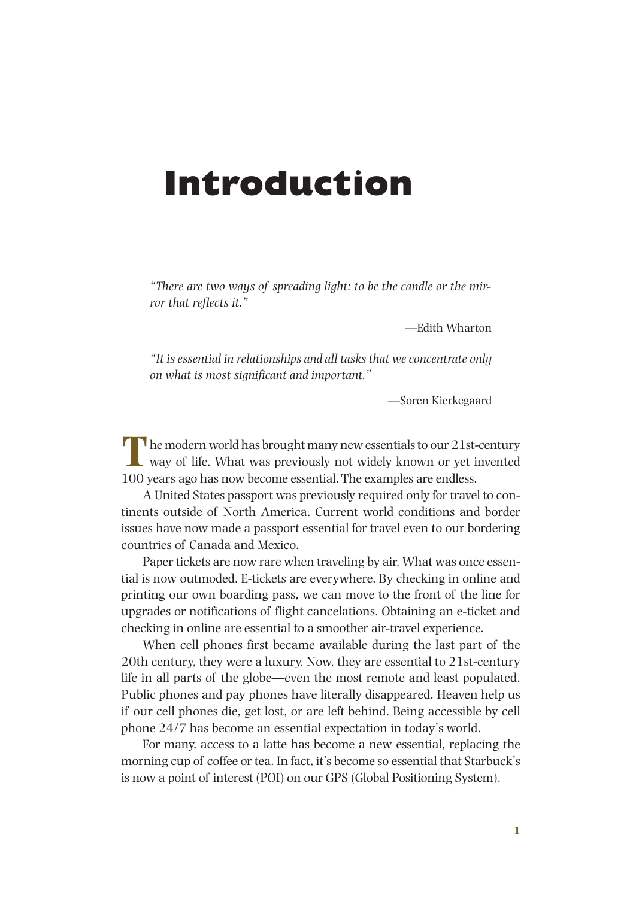# **Introduction**

*"There are two ways of spreading light: to be the candle or the mirror that reflects it."*

—Edith Wharton

*"It is essential in relationships and all tasks that we concentrate only on what is most significant and important."*

—Soren Kierkegaard

The modern world has brought many new essentials to our 21st-century way of life. What was previously not widely known or yet invented 100 years ago has now become essential. The examples are endless.

A United States passport was previously required only for travel to continents outside of North America. Current world conditions and border issues have now made a passport essential for travel even to our bordering countries of Canada and Mexico.

Paper tickets are now rare when traveling by air. What was once essential is now outmoded. E-tickets are everywhere. By checking in online and printing our own boarding pass, we can move to the front of the line for upgrades or notifications of flight cancelations. Obtaining an e-ticket and checking in online are essential to a smoother air-travel experience.

When cell phones first became available during the last part of the 20th century, they were a luxury. Now, they are essential to 21st-century life in all parts of the globe—even the most remote and least populated. Public phones and pay phones have literally disappeared. Heaven help us if our cell phones die, get lost, or are left behind. Being accessible by cell phone 24/7 has become an essential expectation in today's world.

For many, access to a latte has become a new essential, replacing the morning cup of coffee or tea. In fact, it's become so essential that Starbuck's is now a point of interest (POI) on our GPS (Global Positioning System).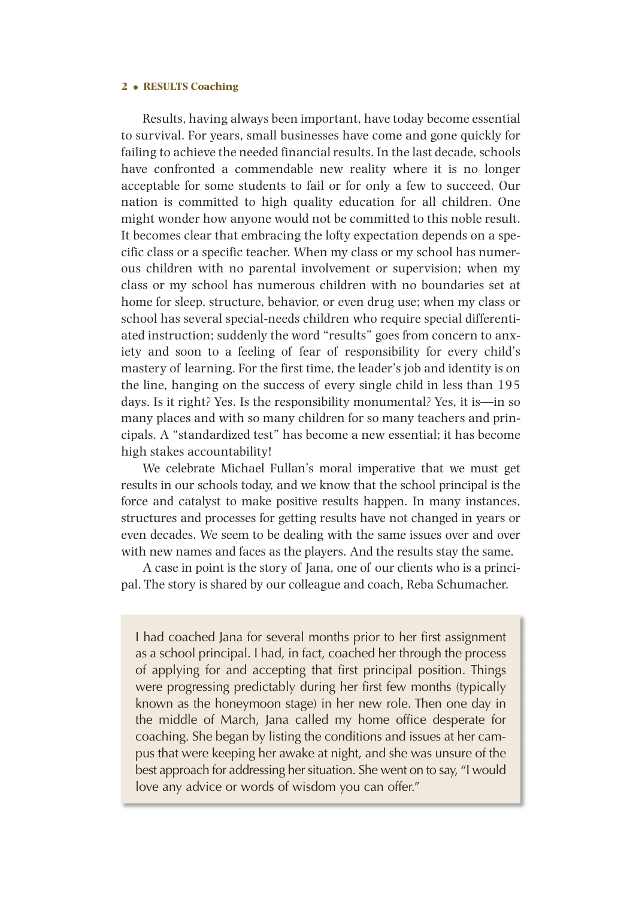#### **2** • **RESULTS Coaching**

Results, having always been important, have today become essential to survival. For years, small businesses have come and gone quickly for failing to achieve the needed financial results. In the last decade, schools have confronted a commendable new reality where it is no longer acceptable for some students to fail or for only a few to succeed. Our nation is committed to high quality education for all children. One might wonder how anyone would not be committed to this noble result. It becomes clear that embracing the lofty expectation depends on a specific class or a specific teacher. When my class or my school has numerous children with no parental involvement or supervision; when my class or my school has numerous children with no boundaries set at home for sleep, structure, behavior, or even drug use; when my class or school has several special-needs children who require special differentiated instruction; suddenly the word "results" goes from concern to anxiety and soon to a feeling of fear of responsibility for every child's mastery of learning. For the first time, the leader's job and identity is on the line, hanging on the success of every single child in less than 195 days. Is it right? Yes. Is the responsibility monumental? Yes, it is—in so many places and with so many children for so many teachers and principals. A "standardized test" has become a new essential; it has become high stakes accountability!

We celebrate Michael Fullan's moral imperative that we must get results in our schools today, and we know that the school principal is the force and catalyst to make positive results happen. In many instances, structures and processes for getting results have not changed in years or even decades. We seem to be dealing with the same issues over and over with new names and faces as the players. And the results stay the same.

A case in point is the story of Jana, one of our clients who is a principal. The story is shared by our colleague and coach, Reba Schumacher.

I had coached Jana for several months prior to her first assignment as a school principal. I had, in fact, coached her through the process of applying for and accepting that first principal position. Things were progressing predictably during her first few months (typically known as the honeymoon stage) in her new role. Then one day in the middle of March, Jana called my home office desperate for coaching. She began by listing the conditions and issues at her campus that were keeping her awake at night, and she was unsure of the best approach for addressing her situation. She went on to say, "I would love any advice or words of wisdom you can offer."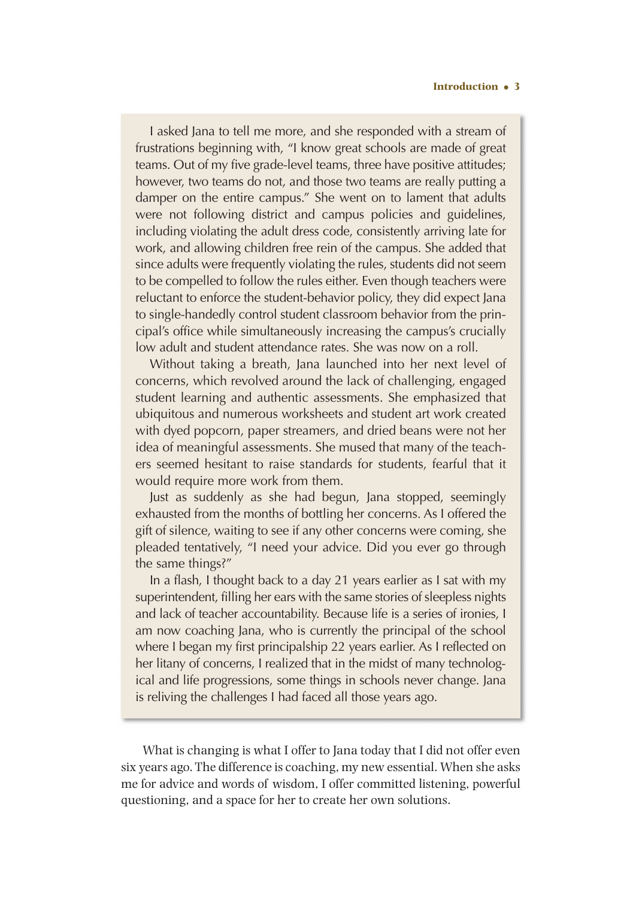### **Introduction** • **3**

I asked Jana to tell me more, and she responded with a stream of frustrations beginning with, "I know great schools are made of great teams. Out of my five grade-level teams, three have positive attitudes; however, two teams do not, and those two teams are really putting a damper on the entire campus." She went on to lament that adults were not following district and campus policies and guidelines, including violating the adult dress code, consistently arriving late for work, and allowing children free rein of the campus. She added that since adults were frequently violating the rules, students did not seem to be compelled to follow the rules either. Even though teachers were reluctant to enforce the student-behavior policy, they did expect Jana to single-handedly control student classroom behavior from the principal's office while simultaneously increasing the campus's crucially low adult and student attendance rates. She was now on a roll.

Without taking a breath, Jana launched into her next level of concerns, which revolved around the lack of challenging, engaged student learning and authentic assessments. She emphasized that ubiquitous and numerous worksheets and student art work created with dyed popcorn, paper streamers, and dried beans were not her idea of meaningful assessments. She mused that many of the teachers seemed hesitant to raise standards for students, fearful that it would require more work from them.

Just as suddenly as she had begun, Jana stopped, seemingly exhausted from the months of bottling her concerns. As I offered the gift of silence, waiting to see if any other concerns were coming, she pleaded tentatively, "I need your advice. Did you ever go through the same things?"

In a flash, I thought back to a day 21 years earlier as I sat with my superintendent, filling her ears with the same stories of sleepless nights and lack of teacher accountability. Because life is a series of ironies, I am now coaching Jana, who is currently the principal of the school where I began my first principalship 22 years earlier. As I reflected on her litany of concerns, I realized that in the midst of many technological and life progressions, some things in schools never change. Jana is reliving the challenges I had faced all those years ago.

What is changing is what I offer to Jana today that I did not offer even six years ago. The difference is coaching, my new essential. When she asks me for advice and words of wisdom, I offer committed listening, powerful questioning, and a space for her to create her own solutions.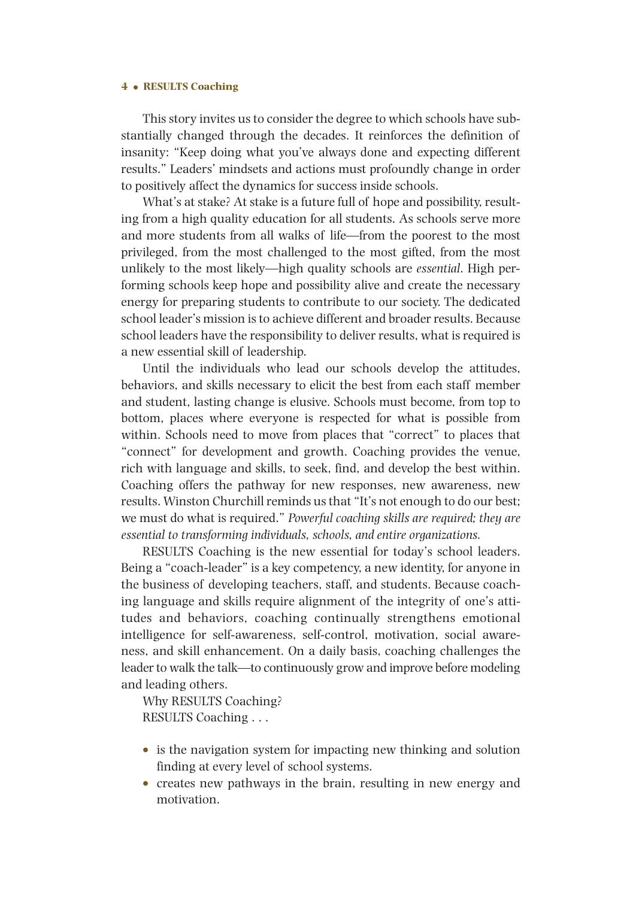#### **4** • **RESULTS Coaching**

This story invites us to consider the degree to which schools have substantially changed through the decades. It reinforces the definition of insanity: "Keep doing what you've always done and expecting different results." Leaders' mindsets and actions must profoundly change in order to positively affect the dynamics for success inside schools.

What's at stake? At stake is a future full of hope and possibility, resulting from a high quality education for all students. As schools serve more and more students from all walks of life—from the poorest to the most privileged, from the most challenged to the most gifted, from the most unlikely to the most likely—high quality schools are *essential*. High performing schools keep hope and possibility alive and create the necessary energy for preparing students to contribute to our society. The dedicated school leader's mission is to achieve different and broader results. Because school leaders have the responsibility to deliver results, what is required is a new essential skill of leadership.

Until the individuals who lead our schools develop the attitudes, behaviors, and skills necessary to elicit the best from each staff member and student, lasting change is elusive. Schools must become, from top to bottom, places where everyone is respected for what is possible from within. Schools need to move from places that "correct" to places that "connect" for development and growth. Coaching provides the venue, rich with language and skills, to seek, find, and develop the best within. Coaching offers the pathway for new responses, new awareness, new results. Winston Churchill reminds us that "It's not enough to do our best; we must do what is required." *Powerful coaching skills are required; they are essential to transforming individuals, schools, and entire organizations.*

RESULTS Coaching is the new essential for today's school leaders. Being a "coach-leader" is a key competency, a new identity, for anyone in the business of developing teachers, staff, and students. Because coaching language and skills require alignment of the integrity of one's attitudes and behaviors, coaching continually strengthens emotional intelligence for self-awareness, self-control, motivation, social awareness, and skill enhancement. On a daily basis, coaching challenges the leader to walk the talk—to continuously grow and improve before modeling and leading others.

Why RESULTS Coaching? RESULTS Coaching ...

- is the navigation system for impacting new thinking and solution finding at every level of school systems.
- creates new pathways in the brain, resulting in new energy and motivation.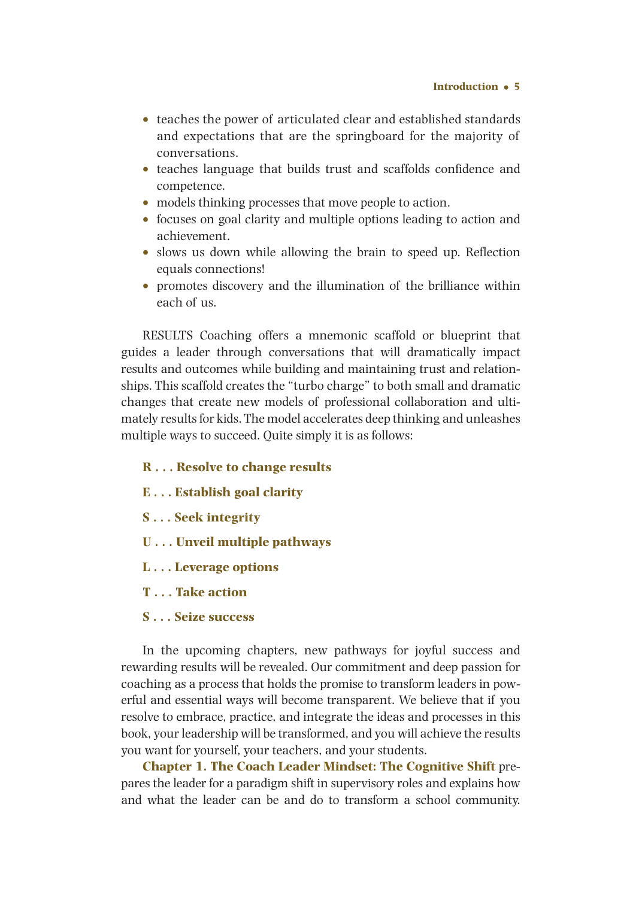- teaches the power of articulated clear and established standards and expectations that are the springboard for the majority of conversations.
- teaches language that builds trust and scaffolds confidence and competence.
- models thinking processes that move people to action.
- focuses on goal clarity and multiple options leading to action and achievement.
- slows us down while allowing the brain to speed up. Reflection equals connections!
- promotes discovery and the illumination of the brilliance within each of us.

RESULTS Coaching offers a mnemonic scaffold or blueprint that guides a leader through conversations that will dramatically impact results and outcomes while building and maintaining trust and relationships. This scaffold creates the "turbo charge" to both small and dramatic changes that create new models of professional collaboration and ultimately results for kids. The model accelerates deep thinking and unleashes multiple ways to succeed. Quite simply it is as follows:

- **R... Resolve to change results**
- **E... Establish goal clarity**
- **S... Seek integrity**
- **U... Unveil multiple pathways**
- **L... Leverage options**
- **T... Take action**
- **S... Seize success**

In the upcoming chapters, new pathways for joyful success and rewarding results will be revealed. Our commitment and deep passion for coaching as a process that holds the promise to transform leaders in powerful and essential ways will become transparent. We believe that if you resolve to embrace, practice, and integrate the ideas and processes in this book, your leadership will be transformed, and you will achieve the results you want for yourself, your teachers, and your students.

**Chapter 1. The Coach Leader Mindset: The Cognitive Shift** prepares the leader for a paradigm shift in supervisory roles and explains how and what the leader can be and do to transform a school community.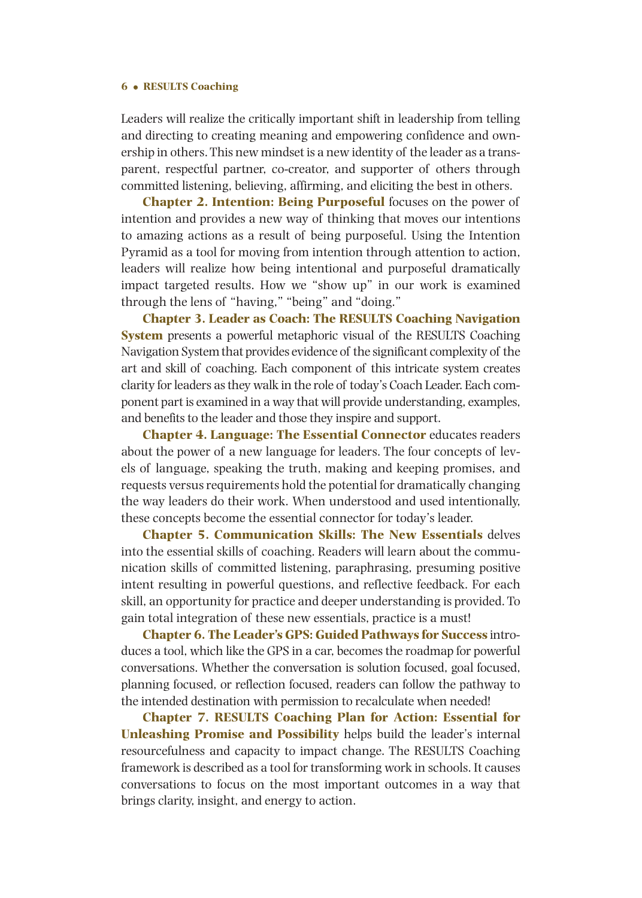#### **6** • **RESULTS Coaching**

Leaders will realize the critically important shift in leadership from telling and directing to creating meaning and empowering confidence and ownership in others.This new mindset is a new identity of the leader as a transparent, respectful partner, co-creator, and supporter of others through committed listening, believing, affirming, and eliciting the best in others.

**Chapter 2. Intention: Being Purposeful** focuses on the power of intention and provides a new way of thinking that moves our intentions to amazing actions as a result of being purposeful. Using the Intention Pyramid as a tool for moving from intention through attention to action, leaders will realize how being intentional and purposeful dramatically impact targeted results. How we "show up" in our work is examined through the lens of "having," "being" and "doing."

**Chapter 3. Leader as Coach: The RESULTS Coaching Navigation System** presents a powerful metaphoric visual of the RESULTS Coaching Navigation System that provides evidence of the significant complexity of the art and skill of coaching. Each component of this intricate system creates clarity for leaders as they walk in the role of today's Coach Leader. Each component part is examined in a way that will provide understanding, examples, and benefits to the leader and those they inspire and support.

**Chapter 4. Language: The Essential Connector** educates readers about the power of a new language for leaders. The four concepts of levels of language, speaking the truth, making and keeping promises, and requests versus requirements hold the potential for dramatically changing the way leaders do their work. When understood and used intentionally, these concepts become the essential connector for today's leader.

**Chapter 5. Communication Skills: The New Essentials** delves into the essential skills of coaching. Readers will learn about the communication skills of committed listening, paraphrasing, presuming positive intent resulting in powerful questions, and reflective feedback. For each skill, an opportunity for practice and deeper understanding is provided. To gain total integration of these new essentials, practice is a must!

**Chapter 6. The Leader's GPS: Guided Pathways for Success** introduces a tool, which like the GPS in a car, becomes the roadmap for powerful conversations. Whether the conversation is solution focused, goal focused, planning focused, or reflection focused, readers can follow the pathway to the intended destination with permission to recalculate when needed!

**Chapter 7. RESULTS Coaching Plan for Action: Essential for Unleashing Promise and Possibility** helps build the leader's internal resourcefulness and capacity to impact change. The RESULTS Coaching framework is described as a tool for transforming work in schools. It causes conversations to focus on the most important outcomes in a way that brings clarity, insight, and energy to action.